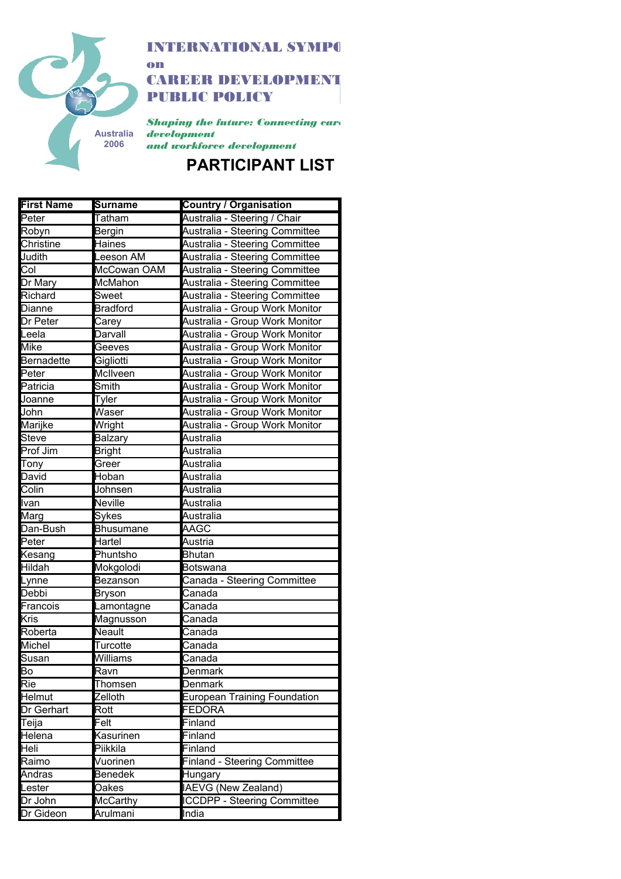

INTERNATIONAL SYMPO on

**CAREER DEVELOPMENT** PUBLIC POLICY

*Shaping the future: Connecting care development*

*and workforce development*

## **PARTICIPANT LIST**

| <b>First Name</b> | <b>Surname</b>   | <b>Country / Organisation</b>       |
|-------------------|------------------|-------------------------------------|
| Peter             | <b>Tatham</b>    | Australia - Steering / Chair        |
| Robyn             | Bergin           | Australia - Steering Committee      |
| Christine         | <b>Haines</b>    | Australia - Steering Committee      |
| Judith            | Leeson AM        | Australia - Steering Committee      |
| Col               | McCowan OAM      | Australia - Steering Committee      |
| Dr Mary           | McMahon          | Australia - Steering Committee      |
| <b>Richard</b>    | Sweet            | Australia - Steering Committee      |
| <b>Dianne</b>     | <b>Bradford</b>  | Australia - Group Work Monitor      |
| Dr Peter          | Carey            | Australia - Group Work Monitor      |
| Leela             | Darvall          | Australia - Group Work Monitor      |
| <b>Mike</b>       | Geeves           | Australia - Group Work Monitor      |
| <b>Bernadette</b> | Gigliotti        | Australia - Group Work Monitor      |
| Peter             | McIlveen         | Australia - Group Work Monitor      |
| Patricia          | Smith            | Australia - Group Work Monitor      |
| Joanne            | Tyler            | Australia - Group Work Monitor      |
| John              | Waser            | Australia - Group Work Monitor      |
| Marijke           | Wright           | Australia - Group Work Monitor      |
| Steve             | Balzary          | Australia                           |
| Prof Jim          | <b>Bright</b>    | Australia                           |
| Tony              | Greer            | Australia                           |
| David             | Hoban            | Australia                           |
| Colin             | Johnsen          | Australia                           |
| Ivan              | Neville          | Australia                           |
| Marg              | Sykes            | Australia                           |
| Dan-Bush          | <b>Bhusumane</b> | AAGC                                |
| Peter             | Hartel           | Austria                             |
| Kesang            | Phuntsho         | <b>Bhutan</b>                       |
| <b>Hildah</b>     | Mokgolodi        | <b>Botswana</b>                     |
| Lynne             | Bezanson         | Canada - Steering Committee         |
| Debbi             | <b>Bryson</b>    | Canada                              |
| Francois          | Lamontagne       | $\overline{\mathtt{Canada}}$        |
| <b>Kris</b>       | Magnusson        | Canada                              |
| Roberta           | Neault           | Canada                              |
| Michel            | Turcotte         | Canada                              |
| Susan             | Williams         | Canada                              |
| B٥                | Ravn             | Denmark                             |
| Rie               | Thomsen          | Denmark                             |
| Helmut            | Zelloth          | European Training Foundation        |
| <b>Dr Gerhart</b> | Rott             | <b>FEDORA</b>                       |
| Teija             | Felt             | Finland                             |
| Helena            | Kasurinen        | Finland                             |
| Heli              | Piikkila         | Finland                             |
| Raimo             | Vuorinen         | <b>Finland - Steering Committee</b> |
| Andras            | <b>Benedek</b>   | Hungary                             |
| Lester            | Oakes            | <b>IAEVG (New Zealand)</b>          |
| Dr John           | <b>McCarthy</b>  | <b>ICCDPP - Steering Committee</b>  |
| Dr Gideon         | Arulmani         | India                               |